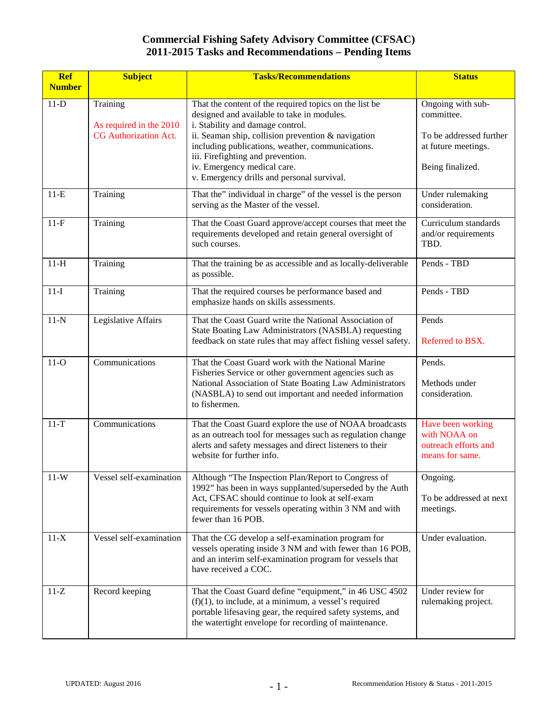| <b>Ref</b><br><b>Number</b> | <b>Subject</b>                      | <b>Tasks/Recommendations</b>                                                                                                                                                                                                                        | <b>Status</b>                                                                |
|-----------------------------|-------------------------------------|-----------------------------------------------------------------------------------------------------------------------------------------------------------------------------------------------------------------------------------------------------|------------------------------------------------------------------------------|
|                             |                                     |                                                                                                                                                                                                                                                     |                                                                              |
| $11-D$                      | Training<br>As required in the 2010 | That the content of the required topics on the list be<br>designed and available to take in modules.<br>i. Stability and damage control.                                                                                                            | Ongoing with sub-<br>committee.                                              |
|                             | <b>CG</b> Authorization Act.        | ii. Seaman ship, collision prevention & navigation<br>including publications, weather, communications.<br>iii. Firefighting and prevention.<br>iv. Emergency medical care.<br>v. Emergency drills and personal survival.                            | To be addressed further<br>at future meetings.<br>Being finalized.           |
| $11-E$                      | Training                            | That the" individual in charge" of the vessel is the person<br>serving as the Master of the vessel.                                                                                                                                                 | Under rulemaking<br>consideration.                                           |
| $11-F$                      | Training                            | That the Coast Guard approve/accept courses that meet the<br>requirements developed and retain general oversight of<br>such courses.                                                                                                                | Curriculum standards<br>and/or requirements<br>TBD.                          |
| $11-H$                      | Training                            | That the training be as accessible and as locally-deliverable<br>as possible.                                                                                                                                                                       | Pends - TBD                                                                  |
| $11-I$                      | Training                            | That the required courses be performance based and<br>emphasize hands on skills assessments.                                                                                                                                                        | Pends - TBD                                                                  |
| $11-N$                      | Legislative Affairs                 | That the Coast Guard write the National Association of<br>State Boating Law Administrators (NASBLA) requesting<br>feedback on state rules that may affect fishing vessel safety.                                                                    | Pends<br>Referred to BSX.                                                    |
| $11-O$                      | Communications                      | That the Coast Guard work with the National Marine<br>Fisheries Service or other government agencies such as<br>National Association of State Boating Law Administrators<br>(NASBLA) to send out important and needed information<br>to fishermen.  | Pends.<br>Methods under<br>consideration.                                    |
| $11-T$                      | Communications                      | That the Coast Guard explore the use of NOAA broadcasts<br>as an outreach tool for messages such as regulation change<br>alerts and safety messages and direct listeners to their<br>website for further info.                                      | Have been working<br>with NOAA on<br>outreach efforts and<br>means for same. |
| $11-W$                      | Vessel self-examination             | Although "The Inspection Plan/Report to Congress of<br>1992" has been in ways supplanted/superseded by the Auth<br>Act, CFSAC should continue to look at self-exam<br>requirements for vessels operating within 3 NM and with<br>fewer than 16 POB. | Ongoing.<br>To be addressed at next<br>meetings.                             |
| $11-X$                      | Vessel self-examination             | That the CG develop a self-examination program for<br>vessels operating inside 3 NM and with fewer than 16 POB,<br>and an interim self-examination program for vessels that<br>have received a COC.                                                 | Under evaluation.                                                            |
| $11-Z$                      | Record keeping                      | That the Coast Guard define "equipment," in 46 USC 4502<br>$(f)(1)$ , to include, at a minimum, a vessel's required<br>portable lifesaving gear, the required safety systems, and<br>the watertight envelope for recording of maintenance.          | Under review for<br>rulemaking project.                                      |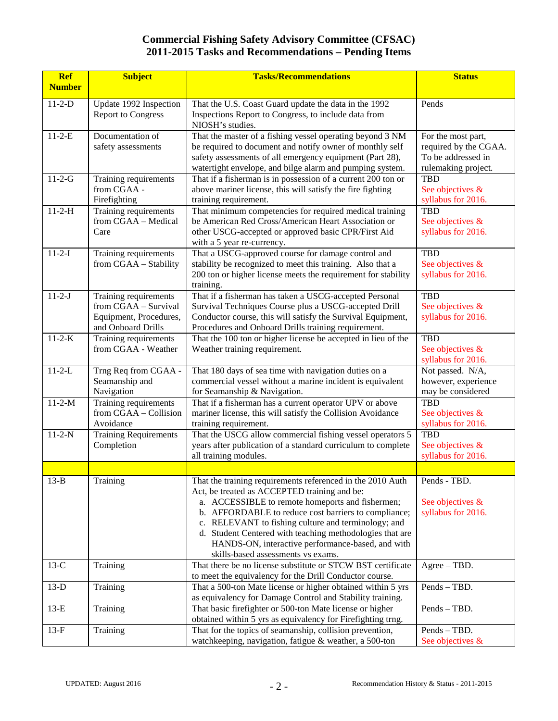| <b>Ref</b>    | <b>Subject</b>                                 | <b>Tasks/Recommendations</b>                                                                                          | <b>Status</b>                               |
|---------------|------------------------------------------------|-----------------------------------------------------------------------------------------------------------------------|---------------------------------------------|
| <b>Number</b> |                                                |                                                                                                                       |                                             |
| $11 - 2 - D$  | Update 1992 Inspection                         | That the U.S. Coast Guard update the data in the 1992                                                                 | Pends                                       |
|               | <b>Report to Congress</b>                      | Inspections Report to Congress, to include data from                                                                  |                                             |
|               |                                                | NIOSH's studies.                                                                                                      |                                             |
| $11 - 2 - E$  | Documentation of                               | That the master of a fishing vessel operating beyond 3 NM                                                             | For the most part,                          |
|               | safety assessments                             | be required to document and notify owner of monthly self<br>safety assessments of all emergency equipment (Part 28),  | required by the CGAA.<br>To be addressed in |
|               |                                                | watertight envelope, and bilge alarm and pumping system.                                                              | rulemaking project.                         |
| $11 - 2 - G$  | Training requirements                          | That if a fisherman is in possession of a current 200 ton or                                                          | <b>TBD</b>                                  |
|               | from CGAA -                                    | above mariner license, this will satisfy the fire fighting                                                            | See objectives &                            |
|               | Firefighting                                   | training requirement.                                                                                                 | syllabus for 2016.                          |
| $11 - 2 - H$  | Training requirements                          | That minimum competencies for required medical training                                                               | <b>TBD</b>                                  |
|               | from CGAA - Medical                            | be American Red Cross/American Heart Association or                                                                   | See objectives &                            |
|               | Care                                           | other USCG-accepted or approved basic CPR/First Aid                                                                   | syllabus for 2016.                          |
| $11 - 2 - I$  |                                                | with a 5 year re-currency.<br>That a USCG-approved course for damage control and                                      | <b>TBD</b>                                  |
|               | Training requirements<br>from CGAA - Stability | stability be recognized to meet this training. Also that a                                                            | See objectives &                            |
|               |                                                | 200 ton or higher license meets the requirement for stability                                                         | syllabus for 2016.                          |
|               |                                                | training.                                                                                                             |                                             |
| $11 - 2 - J$  | Training requirements                          | That if a fisherman has taken a USCG-accepted Personal                                                                | <b>TBD</b>                                  |
|               | from CGAA - Survival                           | Survival Techniques Course plus a USCG-accepted Drill                                                                 | See objectives &                            |
|               | Equipment, Procedures,                         | Conductor course, this will satisfy the Survival Equipment,                                                           | syllabus for 2016.                          |
|               | and Onboard Drills                             | Procedures and Onboard Drills training requirement.                                                                   |                                             |
| $11 - 2 - K$  | Training requirements                          | That the 100 ton or higher license be accepted in lieu of the                                                         | <b>TBD</b>                                  |
|               | from CGAA - Weather                            | Weather training requirement.                                                                                         | See objectives &                            |
| $11 - 2 - L$  |                                                |                                                                                                                       | syllabus for 2016.<br>Not passed. N/A,      |
|               | Trng Req from CGAA -<br>Seamanship and         | That 180 days of sea time with navigation duties on a<br>commercial vessel without a marine incident is equivalent    | however, experience                         |
|               | Navigation                                     | for Seamanship & Navigation.                                                                                          | may be considered                           |
| $11 - 2 - M$  | Training requirements                          | That if a fisherman has a current operator UPV or above                                                               | <b>TBD</b>                                  |
|               | from CGAA - Collision                          | mariner license, this will satisfy the Collision Avoidance                                                            | See objectives &                            |
|               | Avoidance                                      | training requirement.                                                                                                 | syllabus for 2016.                          |
| $11 - 2 - N$  | <b>Training Requirements</b>                   | That the USCG allow commercial fishing vessel operators 5                                                             | <b>TBD</b>                                  |
|               | Completion                                     | years after publication of a standard curriculum to complete                                                          | See objectives &                            |
|               |                                                | all training modules.                                                                                                 | syllabus for 2016.                          |
|               |                                                |                                                                                                                       |                                             |
| $13-B$        | Training                                       | That the training requirements referenced in the 2010 Auth                                                            | Pends - TBD.                                |
|               |                                                | Act, be treated as ACCEPTED training and be:<br>a. ACCESSIBLE to remote homeports and fishermen;                      |                                             |
|               |                                                | b. AFFORDABLE to reduce cost barriers to compliance;                                                                  | See objectives &<br>syllabus for 2016.      |
|               |                                                | c. RELEVANT to fishing culture and terminology; and                                                                   |                                             |
|               |                                                | d. Student Centered with teaching methodologies that are                                                              |                                             |
|               |                                                | HANDS-ON, interactive performance-based, and with                                                                     |                                             |
|               |                                                | skills-based assessments vs exams.                                                                                    |                                             |
| $13-C$        | Training                                       | That there be no license substitute or STCW BST certificate                                                           | $Agree - TBD$ .                             |
|               |                                                | to meet the equivalency for the Drill Conductor course.                                                               |                                             |
| $13-D$        | Training                                       | That a 500-ton Mate license or higher obtained within 5 yrs                                                           | Pends - TBD.                                |
| $13-E$        | Training                                       | as equivalency for Damage Control and Stability training.<br>That basic firefighter or 500-ton Mate license or higher | Pends - TBD.                                |
|               |                                                | obtained within 5 yrs as equivalency for Firefighting trng.                                                           |                                             |
| $13-F$        | Training                                       | That for the topics of seamanship, collision prevention,                                                              | Pends - TBD.                                |
|               |                                                | watchkeeping, navigation, fatigue & weather, a 500-ton                                                                | See objectives &                            |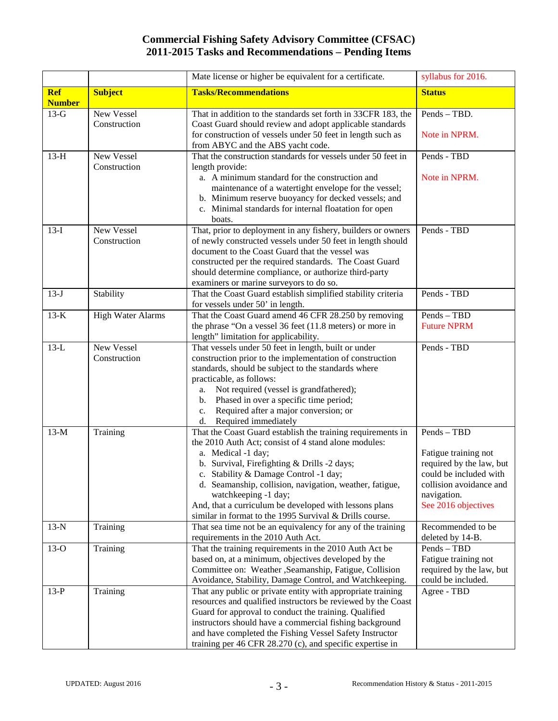|                             |                          | Mate license or higher be equivalent for a certificate.                                                             | syllabus for 2016.       |
|-----------------------------|--------------------------|---------------------------------------------------------------------------------------------------------------------|--------------------------|
| <b>Ref</b><br><b>Number</b> | <b>Subject</b>           | <b>Tasks/Recommendations</b>                                                                                        | <b>Status</b>            |
| $13-G$                      | New Vessel               | That in addition to the standards set forth in 33CFR 183, the                                                       | Pends - TBD.             |
|                             | Construction             | Coast Guard should review and adopt applicable standards                                                            |                          |
|                             |                          | for construction of vessels under 50 feet in length such as                                                         | Note in NPRM.            |
| $13-H$                      | New Vessel               | from ABYC and the ABS yacht code.<br>That the construction standards for vessels under 50 feet in                   | Pends - TBD              |
|                             | Construction             | length provide:                                                                                                     |                          |
|                             |                          | a. A minimum standard for the construction and                                                                      | Note in NPRM.            |
|                             |                          | maintenance of a watertight envelope for the vessel;                                                                |                          |
|                             |                          | b. Minimum reserve buoyancy for decked vessels; and                                                                 |                          |
|                             |                          | c. Minimal standards for internal floatation for open                                                               |                          |
|                             |                          | boats.                                                                                                              |                          |
| $13-I$                      | New Vessel               | That, prior to deployment in any fishery, builders or owners                                                        | Pends - TBD              |
|                             | Construction             | of newly constructed vessels under 50 feet in length should<br>document to the Coast Guard that the vessel was      |                          |
|                             |                          | constructed per the required standards. The Coast Guard                                                             |                          |
|                             |                          | should determine compliance, or authorize third-party                                                               |                          |
|                             |                          | examiners or marine surveyors to do so.                                                                             |                          |
| $13-J$                      | Stability                | That the Coast Guard establish simplified stability criteria                                                        | Pends - TBD              |
|                             |                          | for vessels under 50' in length.                                                                                    |                          |
| $13-K$                      | <b>High Water Alarms</b> | That the Coast Guard amend 46 CFR 28.250 by removing                                                                | Pends - TBD              |
|                             |                          | the phrase "On a vessel 36 feet (11.8 meters) or more in                                                            | <b>Future NPRM</b>       |
| $13-L$                      | New Vessel               | length" limitation for applicability.                                                                               | Pends - TBD              |
|                             | Construction             | That vessels under 50 feet in length, built or under<br>construction prior to the implementation of construction    |                          |
|                             |                          | standards, should be subject to the standards where                                                                 |                          |
|                             |                          | practicable, as follows:                                                                                            |                          |
|                             |                          | Not required (vessel is grandfathered);<br>a.                                                                       |                          |
|                             |                          | Phased in over a specific time period;<br>b.                                                                        |                          |
|                             |                          | Required after a major conversion; or<br>c.                                                                         |                          |
|                             |                          | d. Required immediately                                                                                             |                          |
| $13-M$                      | Training                 | That the Coast Guard establish the training requirements in<br>the 2010 Auth Act; consist of 4 stand alone modules: | Pends - TBD              |
|                             |                          | a. Medical -1 day;                                                                                                  | Fatigue training not     |
|                             |                          | b. Survival, Firefighting & Drills -2 days;                                                                         | required by the law, but |
|                             |                          | c. Stability & Damage Control -1 day;                                                                               | could be included with   |
|                             |                          | d. Seamanship, collision, navigation, weather, fatigue,                                                             | collision avoidance and  |
|                             |                          | watchkeeping -1 day;                                                                                                | navigation.              |
|                             |                          | And, that a curriculum be developed with lessons plans                                                              | See 2016 objectives      |
|                             |                          | similar in format to the 1995 Survival & Drills course.                                                             | Recommended to be        |
| $13-N$                      | Training                 | That sea time not be an equivalency for any of the training<br>requirements in the 2010 Auth Act.                   | deleted by 14-B.         |
| $13-O$                      | Training                 | That the training requirements in the 2010 Auth Act be                                                              | Pends - TBD              |
|                             |                          | based on, at a minimum, objectives developed by the                                                                 | Fatigue training not     |
|                             |                          | Committee on: Weather ,Seamanship, Fatigue, Collision                                                               | required by the law, but |
|                             |                          | Avoidance, Stability, Damage Control, and Watchkeeping.                                                             | could be included.       |
| $13-P$                      | Training                 | That any public or private entity with appropriate training                                                         | Agree - TBD              |
|                             |                          | resources and qualified instructors be reviewed by the Coast                                                        |                          |
|                             |                          | Guard for approval to conduct the training. Qualified                                                               |                          |
|                             |                          | instructors should have a commercial fishing background<br>and have completed the Fishing Vessel Safety Instructor  |                          |
|                             |                          | training per 46 CFR 28.270 (c), and specific expertise in                                                           |                          |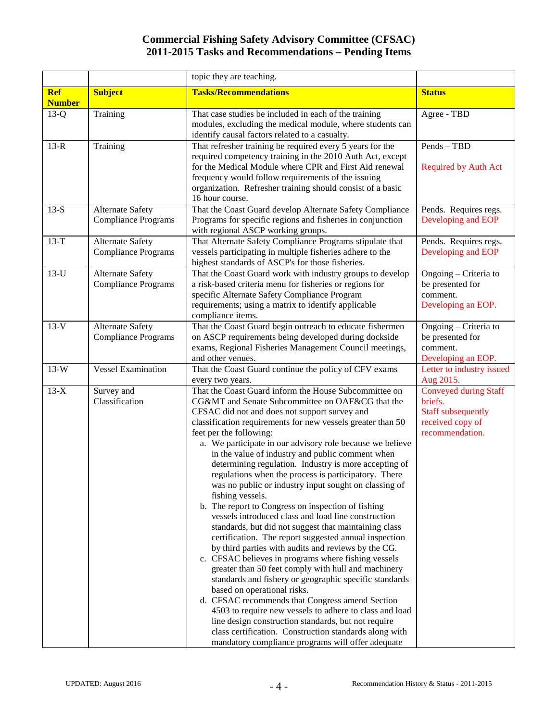|                             |                                                       | topic they are teaching.                                                                                                                                                                                                                                                                                                                                                                                                                                                                                                                                                                                                                                                                                                                                                                                                                                                                                                                                                                                                                                                                                                                                                                                                                                                                                                                             |                                                                                                             |
|-----------------------------|-------------------------------------------------------|------------------------------------------------------------------------------------------------------------------------------------------------------------------------------------------------------------------------------------------------------------------------------------------------------------------------------------------------------------------------------------------------------------------------------------------------------------------------------------------------------------------------------------------------------------------------------------------------------------------------------------------------------------------------------------------------------------------------------------------------------------------------------------------------------------------------------------------------------------------------------------------------------------------------------------------------------------------------------------------------------------------------------------------------------------------------------------------------------------------------------------------------------------------------------------------------------------------------------------------------------------------------------------------------------------------------------------------------------|-------------------------------------------------------------------------------------------------------------|
| <b>Ref</b><br><b>Number</b> | <b>Subject</b>                                        | <b>Tasks/Recommendations</b>                                                                                                                                                                                                                                                                                                                                                                                                                                                                                                                                                                                                                                                                                                                                                                                                                                                                                                                                                                                                                                                                                                                                                                                                                                                                                                                         | <b>Status</b>                                                                                               |
| $13-Q$                      | Training                                              | That case studies be included in each of the training<br>modules, excluding the medical module, where students can<br>identify causal factors related to a casualty.                                                                                                                                                                                                                                                                                                                                                                                                                                                                                                                                                                                                                                                                                                                                                                                                                                                                                                                                                                                                                                                                                                                                                                                 | Agree - TBD                                                                                                 |
| $13-R$                      | Training                                              | That refresher training be required every 5 years for the<br>required competency training in the 2010 Auth Act, except<br>for the Medical Module where CPR and First Aid renewal<br>frequency would follow requirements of the issuing<br>organization. Refresher training should consist of a basic<br>16 hour course.                                                                                                                                                                                                                                                                                                                                                                                                                                                                                                                                                                                                                                                                                                                                                                                                                                                                                                                                                                                                                              | Pends - TBD<br><b>Required by Auth Act</b>                                                                  |
| $13-S$                      | <b>Alternate Safety</b><br><b>Compliance Programs</b> | That the Coast Guard develop Alternate Safety Compliance<br>Programs for specific regions and fisheries in conjunction<br>with regional ASCP working groups.                                                                                                                                                                                                                                                                                                                                                                                                                                                                                                                                                                                                                                                                                                                                                                                                                                                                                                                                                                                                                                                                                                                                                                                         | Pends. Requires regs.<br>Developing and EOP                                                                 |
| $13-T$                      | <b>Alternate Safety</b><br><b>Compliance Programs</b> | That Alternate Safety Compliance Programs stipulate that<br>vessels participating in multiple fisheries adhere to the<br>highest standards of ASCP's for those fisheries.                                                                                                                                                                                                                                                                                                                                                                                                                                                                                                                                                                                                                                                                                                                                                                                                                                                                                                                                                                                                                                                                                                                                                                            | Pends. Requires regs.<br>Developing and EOP                                                                 |
| $13-U$                      | <b>Alternate Safety</b><br><b>Compliance Programs</b> | That the Coast Guard work with industry groups to develop<br>a risk-based criteria menu for fisheries or regions for<br>specific Alternate Safety Compliance Program<br>requirements; using a matrix to identify applicable<br>compliance items.                                                                                                                                                                                                                                                                                                                                                                                                                                                                                                                                                                                                                                                                                                                                                                                                                                                                                                                                                                                                                                                                                                     | Ongoing - Criteria to<br>be presented for<br>comment.<br>Developing an EOP.                                 |
| $13-V$                      | <b>Alternate Safety</b><br><b>Compliance Programs</b> | That the Coast Guard begin outreach to educate fishermen<br>on ASCP requirements being developed during dockside<br>exams, Regional Fisheries Management Council meetings,<br>and other venues.                                                                                                                                                                                                                                                                                                                                                                                                                                                                                                                                                                                                                                                                                                                                                                                                                                                                                                                                                                                                                                                                                                                                                      | Ongoing – Criteria to<br>be presented for<br>comment.<br>Developing an EOP.                                 |
| $13-W$                      | <b>Vessel Examination</b>                             | That the Coast Guard continue the policy of CFV exams<br>every two years.                                                                                                                                                                                                                                                                                                                                                                                                                                                                                                                                                                                                                                                                                                                                                                                                                                                                                                                                                                                                                                                                                                                                                                                                                                                                            | Letter to industry issued<br>Aug 2015.                                                                      |
| $13-X$                      | Survey and<br>Classification                          | That the Coast Guard inform the House Subcommittee on<br>CG&MT and Senate Subcommittee on OAF&CG that the<br>CFSAC did not and does not support survey and<br>classification requirements for new vessels greater than 50<br>feet per the following:<br>a. We participate in our advisory role because we believe<br>in the value of industry and public comment when<br>determining regulation. Industry is more accepting of<br>regulations when the process is participatory. There<br>was no public or industry input sought on classing of<br>fishing vessels.<br>b. The report to Congress on inspection of fishing<br>vessels introduced class and load line construction<br>standards, but did not suggest that maintaining class<br>certification. The report suggested annual inspection<br>by third parties with audits and reviews by the CG.<br>c. CFSAC believes in programs where fishing vessels<br>greater than 50 feet comply with hull and machinery<br>standards and fishery or geographic specific standards<br>based on operational risks.<br>d. CFSAC recommends that Congress amend Section<br>4503 to require new vessels to adhere to class and load<br>line design construction standards, but not require<br>class certification. Construction standards along with<br>mandatory compliance programs will offer adequate | <b>Conveyed during Staff</b><br>briefs.<br><b>Staff subsequently</b><br>received copy of<br>recommendation. |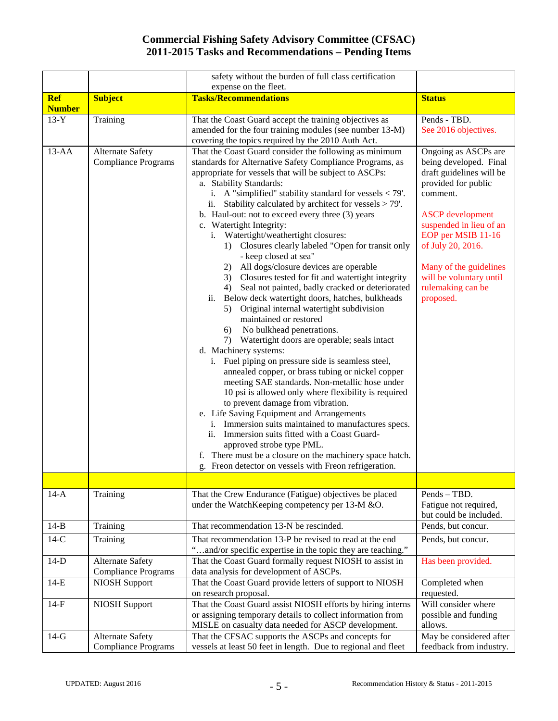|               |                                                       | safety without the burden of full class certification                                                                                                                                                                                                                                                                                                                                                                                                                                                                                                                                                                                                                                                                                                                                                                                                                                                                                                                                                                                                                                                                                                                                                                                                                                                                                                                                                                                                                                                                          |                                                                                                                                                                                                                                                                                                       |
|---------------|-------------------------------------------------------|--------------------------------------------------------------------------------------------------------------------------------------------------------------------------------------------------------------------------------------------------------------------------------------------------------------------------------------------------------------------------------------------------------------------------------------------------------------------------------------------------------------------------------------------------------------------------------------------------------------------------------------------------------------------------------------------------------------------------------------------------------------------------------------------------------------------------------------------------------------------------------------------------------------------------------------------------------------------------------------------------------------------------------------------------------------------------------------------------------------------------------------------------------------------------------------------------------------------------------------------------------------------------------------------------------------------------------------------------------------------------------------------------------------------------------------------------------------------------------------------------------------------------------|-------------------------------------------------------------------------------------------------------------------------------------------------------------------------------------------------------------------------------------------------------------------------------------------------------|
|               |                                                       | expense on the fleet.                                                                                                                                                                                                                                                                                                                                                                                                                                                                                                                                                                                                                                                                                                                                                                                                                                                                                                                                                                                                                                                                                                                                                                                                                                                                                                                                                                                                                                                                                                          |                                                                                                                                                                                                                                                                                                       |
| <b>Ref</b>    | <b>Subject</b>                                        | <b>Tasks/Recommendations</b>                                                                                                                                                                                                                                                                                                                                                                                                                                                                                                                                                                                                                                                                                                                                                                                                                                                                                                                                                                                                                                                                                                                                                                                                                                                                                                                                                                                                                                                                                                   | <b>Status</b>                                                                                                                                                                                                                                                                                         |
| <b>Number</b> |                                                       |                                                                                                                                                                                                                                                                                                                                                                                                                                                                                                                                                                                                                                                                                                                                                                                                                                                                                                                                                                                                                                                                                                                                                                                                                                                                                                                                                                                                                                                                                                                                |                                                                                                                                                                                                                                                                                                       |
| $13-Y$        | Training                                              | That the Coast Guard accept the training objectives as                                                                                                                                                                                                                                                                                                                                                                                                                                                                                                                                                                                                                                                                                                                                                                                                                                                                                                                                                                                                                                                                                                                                                                                                                                                                                                                                                                                                                                                                         | Pends - TBD.                                                                                                                                                                                                                                                                                          |
|               |                                                       | amended for the four training modules (see number 13-M)<br>covering the topics required by the 2010 Auth Act.                                                                                                                                                                                                                                                                                                                                                                                                                                                                                                                                                                                                                                                                                                                                                                                                                                                                                                                                                                                                                                                                                                                                                                                                                                                                                                                                                                                                                  | See 2016 objectives.                                                                                                                                                                                                                                                                                  |
|               |                                                       |                                                                                                                                                                                                                                                                                                                                                                                                                                                                                                                                                                                                                                                                                                                                                                                                                                                                                                                                                                                                                                                                                                                                                                                                                                                                                                                                                                                                                                                                                                                                |                                                                                                                                                                                                                                                                                                       |
| $13-AA$       | Alternate Safety<br><b>Compliance Programs</b>        | That the Coast Guard consider the following as minimum<br>standards for Alternative Safety Compliance Programs, as<br>appropriate for vessels that will be subject to ASCPs:<br>a. Stability Standards:<br>i. A "simplified" stability standard for vessels $<$ 79'.<br>ii. Stability calculated by architect for vessels $> 79'$ .<br>b. Haul-out: not to exceed every three (3) years<br>c. Watertight Integrity:<br>i. Watertight/weathertight closures:<br>1) Closures clearly labeled "Open for transit only<br>- keep closed at sea"<br>2) All dogs/closure devices are operable<br>3) Closures tested for fit and watertight integrity<br>4) Seal not painted, badly cracked or deteriorated<br>Below deck watertight doors, hatches, bulkheads<br>ii.<br>5) Original internal watertight subdivision<br>maintained or restored<br>No bulkhead penetrations.<br>6)<br>7) Watertight doors are operable; seals intact<br>d. Machinery systems:<br>Fuel piping on pressure side is seamless steel,<br>i.<br>annealed copper, or brass tubing or nickel copper<br>meeting SAE standards. Non-metallic hose under<br>10 psi is allowed only where flexibility is required<br>to prevent damage from vibration.<br>e. Life Saving Equipment and Arrangements<br>i. Immersion suits maintained to manufactures specs.<br>ii. Immersion suits fitted with a Coast Guard-<br>approved strobe type PML.<br>There must be a closure on the machinery space hatch.<br>f.<br>g. Freon detector on vessels with Freon refrigeration. | Ongoing as ASCPs are<br>being developed. Final<br>draft guidelines will be<br>provided for public<br>comment.<br><b>ASCP</b> development<br>suspended in lieu of an<br>EOP per MSIB 11-16<br>of July 20, 2016.<br>Many of the guidelines<br>will be voluntary until<br>rulemaking can be<br>proposed. |
|               |                                                       |                                                                                                                                                                                                                                                                                                                                                                                                                                                                                                                                                                                                                                                                                                                                                                                                                                                                                                                                                                                                                                                                                                                                                                                                                                                                                                                                                                                                                                                                                                                                |                                                                                                                                                                                                                                                                                                       |
| $14-A$        | Training                                              | That the Crew Endurance (Fatigue) objectives be placed<br>under the WatchKeeping competency per 13-M &O.                                                                                                                                                                                                                                                                                                                                                                                                                                                                                                                                                                                                                                                                                                                                                                                                                                                                                                                                                                                                                                                                                                                                                                                                                                                                                                                                                                                                                       | Pends - TBD.<br>Fatigue not required,<br>but could be included.                                                                                                                                                                                                                                       |
| $14-B$        | Training                                              | That recommendation 13-N be rescinded.                                                                                                                                                                                                                                                                                                                                                                                                                                                                                                                                                                                                                                                                                                                                                                                                                                                                                                                                                                                                                                                                                                                                                                                                                                                                                                                                                                                                                                                                                         | Pends, but concur.                                                                                                                                                                                                                                                                                    |
| $14-C$        | Training                                              | That recommendation 13-P be revised to read at the end                                                                                                                                                                                                                                                                                                                                                                                                                                                                                                                                                                                                                                                                                                                                                                                                                                                                                                                                                                                                                                                                                                                                                                                                                                                                                                                                                                                                                                                                         | Pends, but concur.                                                                                                                                                                                                                                                                                    |
|               |                                                       | "and/or specific expertise in the topic they are teaching."                                                                                                                                                                                                                                                                                                                                                                                                                                                                                                                                                                                                                                                                                                                                                                                                                                                                                                                                                                                                                                                                                                                                                                                                                                                                                                                                                                                                                                                                    |                                                                                                                                                                                                                                                                                                       |
| $14-D$        | <b>Alternate Safety</b><br><b>Compliance Programs</b> | That the Coast Guard formally request NIOSH to assist in<br>data analysis for development of ASCPs.                                                                                                                                                                                                                                                                                                                                                                                                                                                                                                                                                                                                                                                                                                                                                                                                                                                                                                                                                                                                                                                                                                                                                                                                                                                                                                                                                                                                                            | Has been provided.                                                                                                                                                                                                                                                                                    |
| $14-E$        | <b>NIOSH Support</b>                                  | That the Coast Guard provide letters of support to NIOSH<br>on research proposal.                                                                                                                                                                                                                                                                                                                                                                                                                                                                                                                                                                                                                                                                                                                                                                                                                                                                                                                                                                                                                                                                                                                                                                                                                                                                                                                                                                                                                                              | Completed when<br>requested.                                                                                                                                                                                                                                                                          |
| $14-F$        | <b>NIOSH Support</b>                                  | That the Coast Guard assist NIOSH efforts by hiring interns<br>or assigning temporary details to collect information from                                                                                                                                                                                                                                                                                                                                                                                                                                                                                                                                                                                                                                                                                                                                                                                                                                                                                                                                                                                                                                                                                                                                                                                                                                                                                                                                                                                                      | Will consider where<br>possible and funding                                                                                                                                                                                                                                                           |
|               |                                                       | MISLE on casualty data needed for ASCP development.                                                                                                                                                                                                                                                                                                                                                                                                                                                                                                                                                                                                                                                                                                                                                                                                                                                                                                                                                                                                                                                                                                                                                                                                                                                                                                                                                                                                                                                                            | allows.                                                                                                                                                                                                                                                                                               |
| $14-G$        | <b>Alternate Safety</b><br><b>Compliance Programs</b> | That the CFSAC supports the ASCPs and concepts for<br>vessels at least 50 feet in length. Due to regional and fleet                                                                                                                                                                                                                                                                                                                                                                                                                                                                                                                                                                                                                                                                                                                                                                                                                                                                                                                                                                                                                                                                                                                                                                                                                                                                                                                                                                                                            | May be considered after<br>feedback from industry.                                                                                                                                                                                                                                                    |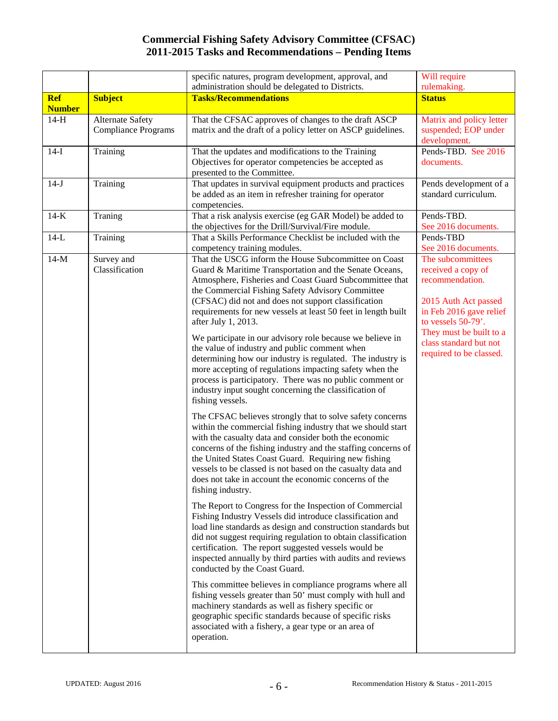|               |                                                       | specific natures, program development, approval, and<br>administration should be delegated to Districts.                                                                                                                                                                                                                                                                                                                                                | Will require<br>rulemaking.                                                                                                           |
|---------------|-------------------------------------------------------|---------------------------------------------------------------------------------------------------------------------------------------------------------------------------------------------------------------------------------------------------------------------------------------------------------------------------------------------------------------------------------------------------------------------------------------------------------|---------------------------------------------------------------------------------------------------------------------------------------|
| <b>Ref</b>    | <b>Subject</b>                                        | <b>Tasks/Recommendations</b>                                                                                                                                                                                                                                                                                                                                                                                                                            | <b>Status</b>                                                                                                                         |
| <b>Number</b> |                                                       |                                                                                                                                                                                                                                                                                                                                                                                                                                                         |                                                                                                                                       |
| $14-H$        | <b>Alternate Safety</b><br><b>Compliance Programs</b> | That the CFSAC approves of changes to the draft ASCP<br>matrix and the draft of a policy letter on ASCP guidelines.                                                                                                                                                                                                                                                                                                                                     | Matrix and policy letter<br>suspended; EOP under<br>development.                                                                      |
| $14-I$        | Training                                              | That the updates and modifications to the Training<br>Objectives for operator competencies be accepted as<br>presented to the Committee.                                                                                                                                                                                                                                                                                                                | Pends-TBD. See 2016<br>documents.                                                                                                     |
| $14-J$        | Training                                              | That updates in survival equipment products and practices<br>be added as an item in refresher training for operator<br>competencies.                                                                                                                                                                                                                                                                                                                    | Pends development of a<br>standard curriculum.                                                                                        |
| $14-K$        | Traning                                               | That a risk analysis exercise (eg GAR Model) be added to<br>the objectives for the Drill/Survival/Fire module.                                                                                                                                                                                                                                                                                                                                          | Pends-TBD.<br>See 2016 documents.                                                                                                     |
| $14-L$        | Training                                              | That a Skills Performance Checklist be included with the<br>competency training modules.                                                                                                                                                                                                                                                                                                                                                                | Pends-TBD<br>See 2016 documents.                                                                                                      |
| $14-M$        | Survey and<br>Classification                          | That the USCG inform the House Subcommittee on Coast<br>Guard & Maritime Transportation and the Senate Oceans,<br>Atmosphere, Fisheries and Coast Guard Subcommittee that<br>the Commercial Fishing Safety Advisory Committee<br>(CFSAC) did not and does not support classification<br>requirements for new vessels at least 50 feet in length built<br>after July 1, 2013.                                                                            | The subcommittees<br>received a copy of<br>recommendation.<br>2015 Auth Act passed<br>in Feb 2016 gave relief<br>to vessels $50-79$ . |
|               |                                                       | We participate in our advisory role because we believe in<br>the value of industry and public comment when<br>determining how our industry is regulated. The industry is<br>more accepting of regulations impacting safety when the<br>process is participatory. There was no public comment or<br>industry input sought concerning the classification of<br>fishing vessels.                                                                           | They must be built to a<br>class standard but not<br>required to be classed.                                                          |
|               |                                                       | The CFSAC believes strongly that to solve safety concerns<br>within the commercial fishing industry that we should start<br>with the casualty data and consider both the economic<br>concerns of the fishing industry and the staffing concerns of<br>the United States Coast Guard. Requiring new fishing<br>vessels to be classed is not based on the casualty data and<br>does not take in account the economic concerns of the<br>fishing industry. |                                                                                                                                       |
|               |                                                       | The Report to Congress for the Inspection of Commercial<br>Fishing Industry Vessels did introduce classification and<br>load line standards as design and construction standards but<br>did not suggest requiring regulation to obtain classification<br>certification. The report suggested vessels would be<br>inspected annually by third parties with audits and reviews<br>conducted by the Coast Guard.                                           |                                                                                                                                       |
|               |                                                       | This committee believes in compliance programs where all<br>fishing vessels greater than 50' must comply with hull and<br>machinery standards as well as fishery specific or<br>geographic specific standards because of specific risks<br>associated with a fishery, a gear type or an area of<br>operation.                                                                                                                                           |                                                                                                                                       |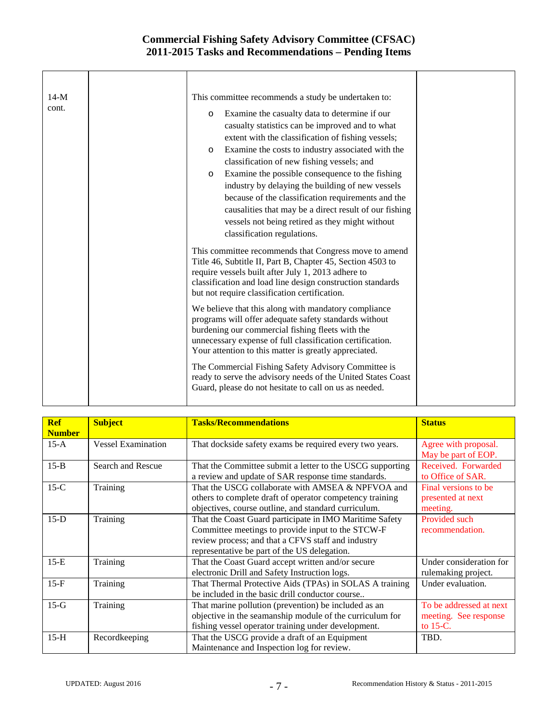| $14-M$ | This committee recommends a study be undertaken to:                                                                                                                                                                                                                                      |  |
|--------|------------------------------------------------------------------------------------------------------------------------------------------------------------------------------------------------------------------------------------------------------------------------------------------|--|
| cont.  | Examine the casualty data to determine if our<br>$\circ$                                                                                                                                                                                                                                 |  |
|        | casualty statistics can be improved and to what                                                                                                                                                                                                                                          |  |
|        | extent with the classification of fishing vessels;                                                                                                                                                                                                                                       |  |
|        | Examine the costs to industry associated with the<br>$\Omega$                                                                                                                                                                                                                            |  |
|        | classification of new fishing vessels; and                                                                                                                                                                                                                                               |  |
|        | Examine the possible consequence to the fishing<br>$\circ$                                                                                                                                                                                                                               |  |
|        | industry by delaying the building of new vessels                                                                                                                                                                                                                                         |  |
|        | because of the classification requirements and the                                                                                                                                                                                                                                       |  |
|        | causalities that may be a direct result of our fishing                                                                                                                                                                                                                                   |  |
|        | vessels not being retired as they might without                                                                                                                                                                                                                                          |  |
|        | classification regulations.                                                                                                                                                                                                                                                              |  |
|        | This committee recommends that Congress move to amend<br>Title 46, Subtitle II, Part B, Chapter 45, Section 4503 to<br>require vessels built after July 1, 2013 adhere to<br>classification and load line design construction standards<br>but not require classification certification. |  |
|        | We believe that this along with mandatory compliance<br>programs will offer adequate safety standards without<br>burdening our commercial fishing fleets with the<br>unnecessary expense of full classification certification.<br>Your attention to this matter is greatly appreciated.  |  |
|        | The Commercial Fishing Safety Advisory Committee is<br>ready to serve the advisory needs of the United States Coast<br>Guard, please do not hesitate to call on us as needed.                                                                                                            |  |

| <b>Ref</b><br><b>Number</b> | <b>Subject</b>            | <b>Tasks/Recommendations</b>                                                                                                                                                                                       | <b>Status</b>                                                   |
|-----------------------------|---------------------------|--------------------------------------------------------------------------------------------------------------------------------------------------------------------------------------------------------------------|-----------------------------------------------------------------|
| $15-A$                      | <b>Vessel Examination</b> | That dockside safety exams be required every two years.                                                                                                                                                            | Agree with proposal.<br>May be part of EOP.                     |
| $15-B$                      | Search and Rescue         | That the Committee submit a letter to the USCG supporting<br>a review and update of SAR response time standards.                                                                                                   | Received. Forwarded<br>to Office of SAR.                        |
| $15-C$                      | Training                  | That the USCG collaborate with AMSEA & NPFVOA and<br>others to complete draft of operator competency training<br>objectives, course outline, and standard curriculum.                                              | Final versions to be<br>presented at next<br>meeting.           |
| $15-D$                      | Training                  | That the Coast Guard participate in IMO Maritime Safety<br>Committee meetings to provide input to the STCW-F<br>review process; and that a CFVS staff and industry<br>representative be part of the US delegation. | Provided such<br>recommendation.                                |
| $15-E$                      | Training                  | That the Coast Guard accept written and/or secure<br>electronic Drill and Safety Instruction logs.                                                                                                                 | Under consideration for<br>rulemaking project.                  |
| $15-F$                      | Training                  | That Thermal Protective Aids (TPAs) in SOLAS A training<br>be included in the basic drill conductor course                                                                                                         | Under evaluation.                                               |
| $15-G$                      | Training                  | That marine pollution (prevention) be included as an<br>objective in the seamanship module of the curriculum for<br>fishing vessel operator training under development.                                            | To be addressed at next<br>meeting. See response<br>to $15-C$ . |
| $15-H$                      | Recordkeeping             | That the USCG provide a draft of an Equipment<br>Maintenance and Inspection log for review.                                                                                                                        | TBD.                                                            |